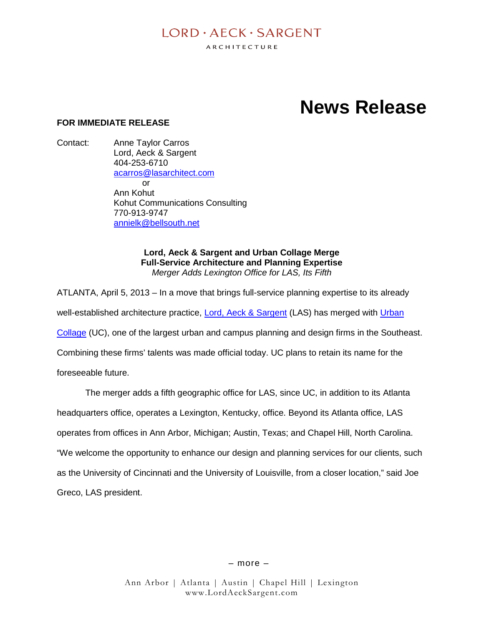# $I$  ORD  $\cdot$  AECK  $\cdot$  SARGENT

ARCHITECTURE

# **News Release**

# **FOR IMMEDIATE RELEASE**

Contact: Anne Taylor Carros Lord, Aeck & Sargent 404-253-6710 acarros@lasarchitect.com  $\alpha$ r Ann Kohut Kohut Communications Consulting 770-913-9747 annielk@bellsouth.net

> **Lord, Aeck & Sargent and Urban Collage Merge Full-Service Architecture and Planning Expertise** *Merger Adds Lexington Office for LAS, Its Fifth*

ATLANTA, April 5, 2013 – In a move that brings full-service planning expertise to its already well-established architecture practice, **Lord, Aeck & Sargent** (LAS) has merged with *Urban* Collage (UC), one of the largest urban and campus planning and design firms in the Southeast. Combining these firms' talents was made official today. UC plans to retain its name for the foreseeable future.

The merger adds a fifth geographic office for LAS, since UC, in addition to its Atlanta headquarters office, operates a Lexington, Kentucky, office. Beyond its Atlanta office, LAS operates from offices in Ann Arbor, Michigan; Austin, Texas; and Chapel Hill, North Carolina. "We welcome the opportunity to enhance our design and planning services for our clients, such as the University of Cincinnati and the University of Louisville, from a closer location," said Joe Greco, LAS president.

– more –

Ann Arbor | Atlanta | Austin | Chapel Hill | Lexington www.LordAeckSargent.com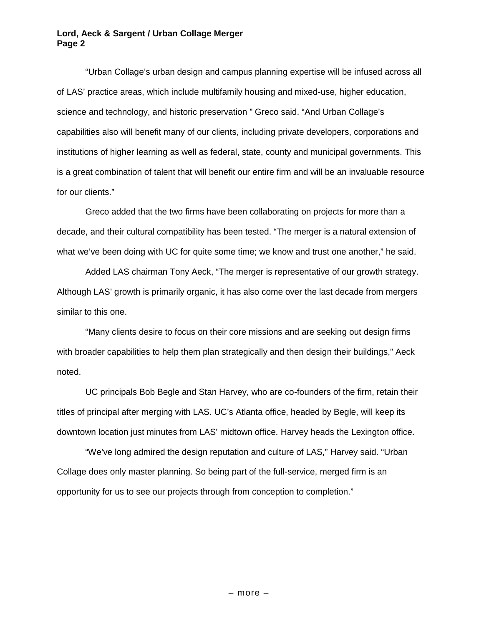#### **Lord, Aeck & Sargent / Urban Collage Merger Page 2**

"Urban Collage's urban design and campus planning expertise will be infused across all of LAS' practice areas, which include multifamily housing and mixed-use, higher education, science and technology, and historic preservation " Greco said. "And Urban Collage's capabilities also will benefit many of our clients, including private developers, corporations and institutions of higher learning as well as federal, state, county and municipal governments. This is a great combination of talent that will benefit our entire firm and will be an invaluable resource for our clients."

Greco added that the two firms have been collaborating on projects for more than a decade, and their cultural compatibility has been tested. "The merger is a natural extension of what we've been doing with UC for quite some time; we know and trust one another," he said.

Added LAS chairman Tony Aeck, "The merger is representative of our growth strategy. Although LAS' growth is primarily organic, it has also come over the last decade from mergers similar to this one.

"Many clients desire to focus on their core missions and are seeking out design firms with broader capabilities to help them plan strategically and then design their buildings," Aeck noted.

UC principals Bob Begle and Stan Harvey, who are co-founders of the firm, retain their titles of principal after merging with LAS. UC's Atlanta office, headed by Begle, will keep its downtown location just minutes from LAS' midtown office. Harvey heads the Lexington office.

"We've long admired the design reputation and culture of LAS," Harvey said. "Urban Collage does only master planning. So being part of the full-service, merged firm is an opportunity for us to see our projects through from conception to completion."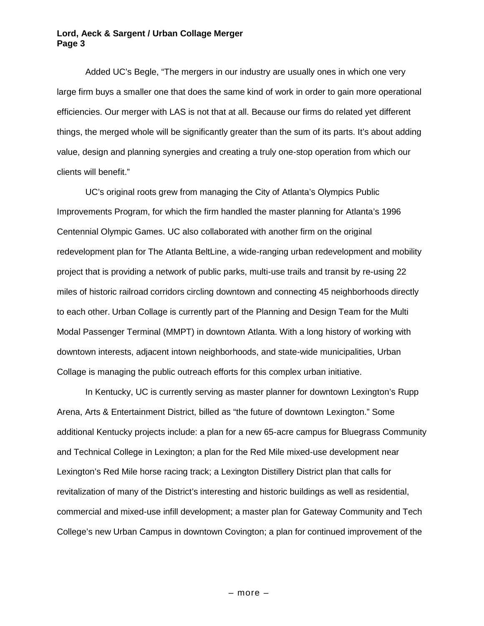#### **Lord, Aeck & Sargent / Urban Collage Merger Page 3**

Added UC's Begle, "The mergers in our industry are usually ones in which one very large firm buys a smaller one that does the same kind of work in order to gain more operational efficiencies. Our merger with LAS is not that at all. Because our firms do related yet different things, the merged whole will be significantly greater than the sum of its parts. It's about adding value, design and planning synergies and creating a truly one-stop operation from which our clients will benefit."

UC's original roots grew from managing the City of Atlanta's Olympics Public Improvements Program, for which the firm handled the master planning for Atlanta's 1996 Centennial Olympic Games. UC also collaborated with another firm on the original redevelopment plan for The Atlanta BeltLine, a wide-ranging urban redevelopment and mobility project that is providing a network of public parks, multi-use trails and transit by re-using 22 miles of historic railroad corridors circling downtown and connecting 45 neighborhoods directly to each other. Urban Collage is currently part of the Planning and Design Team for the Multi Modal Passenger Terminal (MMPT) in downtown Atlanta. With a long history of working with downtown interests, adjacent intown neighborhoods, and state-wide municipalities, Urban Collage is managing the public outreach efforts for this complex urban initiative.

In Kentucky, UC is currently serving as master planner for downtown Lexington's Rupp Arena, Arts & Entertainment District, billed as "the future of downtown Lexington." Some additional Kentucky projects include: a plan for a new 65-acre campus for Bluegrass Community and Technical College in Lexington; a plan for the Red Mile mixed-use development near Lexington's Red Mile horse racing track; a Lexington Distillery District plan that calls for revitalization of many of the District's interesting and historic buildings as well as residential, commercial and mixed-use infill development; a master plan for Gateway Community and Tech College's new Urban Campus in downtown Covington; a plan for continued improvement of the